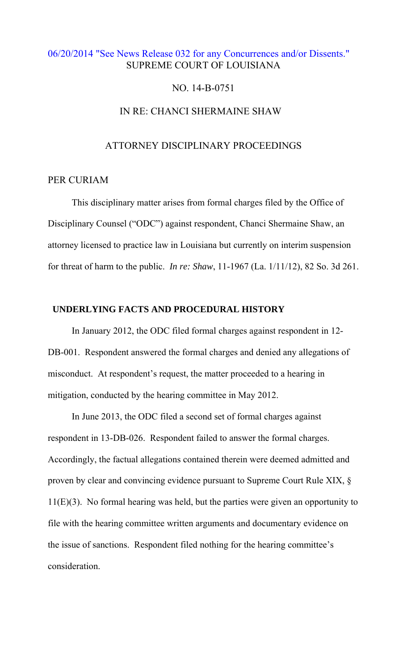## [06/20/2014 "See News Release 032 for any Concurrences and/or Dissents."](http://www.lasc.org/Actions?p=2014-032)  SUPREME COURT OF LOUISIANA

### NO. 14-B-0751

# IN RE: CHANCI SHERMAINE SHAW

### ATTORNEY DISCIPLINARY PROCEEDINGS

### PER CURIAM

 This disciplinary matter arises from formal charges filed by the Office of Disciplinary Counsel ("ODC") against respondent, Chanci Shermaine Shaw, an attorney licensed to practice law in Louisiana but currently on interim suspension for threat of harm to the public. *In re: Shaw*, 11-1967 (La. 1/11/12), 82 So. 3d 261.

### **UNDERLYING FACTS AND PROCEDURAL HISTORY**

 In January 2012, the ODC filed formal charges against respondent in 12- DB-001. Respondent answered the formal charges and denied any allegations of misconduct. At respondent's request, the matter proceeded to a hearing in mitigation, conducted by the hearing committee in May 2012.

 In June 2013, the ODC filed a second set of formal charges against respondent in 13-DB-026. Respondent failed to answer the formal charges. Accordingly, the factual allegations contained therein were deemed admitted and proven by clear and convincing evidence pursuant to Supreme Court Rule XIX, §  $11(E)(3)$ . No formal hearing was held, but the parties were given an opportunity to file with the hearing committee written arguments and documentary evidence on the issue of sanctions. Respondent filed nothing for the hearing committee's consideration.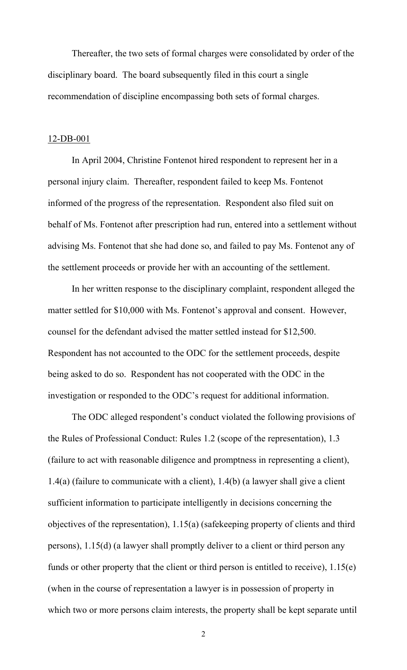Thereafter, the two sets of formal charges were consolidated by order of the disciplinary board. The board subsequently filed in this court a single recommendation of discipline encompassing both sets of formal charges.

#### 12-DB-001

 In April 2004, Christine Fontenot hired respondent to represent her in a personal injury claim. Thereafter, respondent failed to keep Ms. Fontenot informed of the progress of the representation. Respondent also filed suit on behalf of Ms. Fontenot after prescription had run, entered into a settlement without advising Ms. Fontenot that she had done so, and failed to pay Ms. Fontenot any of the settlement proceeds or provide her with an accounting of the settlement.

In her written response to the disciplinary complaint, respondent alleged the matter settled for \$10,000 with Ms. Fontenot's approval and consent. However, counsel for the defendant advised the matter settled instead for \$12,500. Respondent has not accounted to the ODC for the settlement proceeds, despite being asked to do so. Respondent has not cooperated with the ODC in the investigation or responded to the ODC's request for additional information.

The ODC alleged respondent's conduct violated the following provisions of the Rules of Professional Conduct: Rules 1.2 (scope of the representation), 1.3 (failure to act with reasonable diligence and promptness in representing a client), 1.4(a) (failure to communicate with a client), 1.4(b) (a lawyer shall give a client sufficient information to participate intelligently in decisions concerning the objectives of the representation), 1.15(a) (safekeeping property of clients and third persons), 1.15(d) (a lawyer shall promptly deliver to a client or third person any funds or other property that the client or third person is entitled to receive), 1.15(e) (when in the course of representation a lawyer is in possession of property in which two or more persons claim interests, the property shall be kept separate until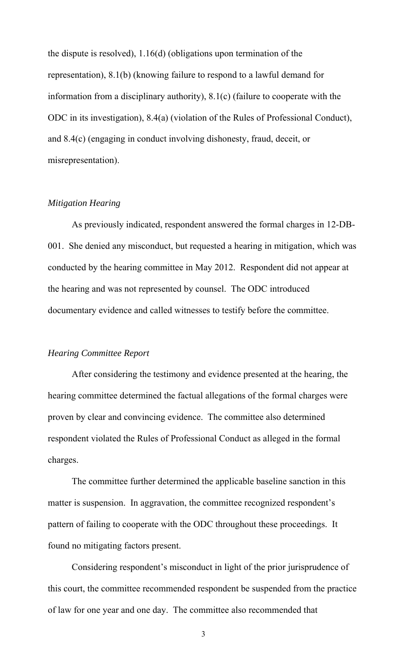the dispute is resolved), 1.16(d) (obligations upon termination of the representation), 8.1(b) (knowing failure to respond to a lawful demand for information from a disciplinary authority), 8.1(c) (failure to cooperate with the ODC in its investigation), 8.4(a) (violation of the Rules of Professional Conduct), and 8.4(c) (engaging in conduct involving dishonesty, fraud, deceit, or misrepresentation).

### *Mitigation Hearing*

 As previously indicated, respondent answered the formal charges in 12-DB-001. She denied any misconduct, but requested a hearing in mitigation, which was conducted by the hearing committee in May 2012. Respondent did not appear at the hearing and was not represented by counsel. The ODC introduced documentary evidence and called witnesses to testify before the committee.

### *Hearing Committee Report*

After considering the testimony and evidence presented at the hearing, the hearing committee determined the factual allegations of the formal charges were proven by clear and convincing evidence. The committee also determined respondent violated the Rules of Professional Conduct as alleged in the formal charges.

The committee further determined the applicable baseline sanction in this matter is suspension. In aggravation, the committee recognized respondent's pattern of failing to cooperate with the ODC throughout these proceedings. It found no mitigating factors present.

Considering respondent's misconduct in light of the prior jurisprudence of this court, the committee recommended respondent be suspended from the practice of law for one year and one day. The committee also recommended that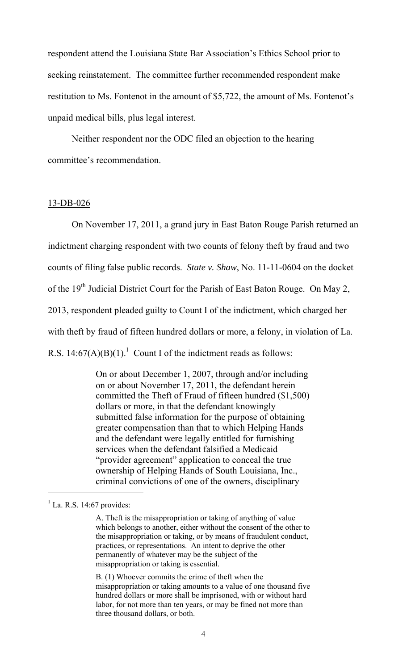respondent attend the Louisiana State Bar Association's Ethics School prior to seeking reinstatement. The committee further recommended respondent make restitution to Ms. Fontenot in the amount of \$5,722, the amount of Ms. Fontenot's unpaid medical bills, plus legal interest.

Neither respondent nor the ODC filed an objection to the hearing committee's recommendation.

#### 13-DB-026

On November 17, 2011, a grand jury in East Baton Rouge Parish returned an indictment charging respondent with two counts of felony theft by fraud and two counts of filing false public records. *State v. Shaw*, No. 11-11-0604 on the docket of the 19<sup>th</sup> Judicial District Court for the Parish of East Baton Rouge. On May 2, 2013, respondent pleaded guilty to Count I of the indictment, which charged her with theft by fraud of fifteen hundred dollars or more, a felony, in violation of La. R.S.  $14:67(A)(B)(1)$ .<sup>1</sup> Count I of the indictment reads as follows:

> On or about December 1, 2007, through and/or including on or about November 17, 2011, the defendant herein committed the Theft of Fraud of fifteen hundred (\$1,500) dollars or more, in that the defendant knowingly submitted false information for the purpose of obtaining greater compensation than that to which Helping Hands and the defendant were legally entitled for furnishing services when the defendant falsified a Medicaid "provider agreement" application to conceal the true ownership of Helping Hands of South Louisiana, Inc., criminal convictions of one of the owners, disciplinary

 $\overline{a}$ 

B. (1) Whoever commits the crime of theft when the misappropriation or taking amounts to a value of one thousand five hundred dollars or more shall be imprisoned, with or without hard labor, for not more than ten years, or may be fined not more than three thousand dollars, or both.

 $<sup>1</sup>$  La. R.S. 14:67 provides:</sup>

A. Theft is the misappropriation or taking of anything of value which belongs to another, either without the consent of the other to the misappropriation or taking, or by means of fraudulent conduct, practices, or representations. An intent to deprive the other permanently of whatever may be the subject of the misappropriation or taking is essential.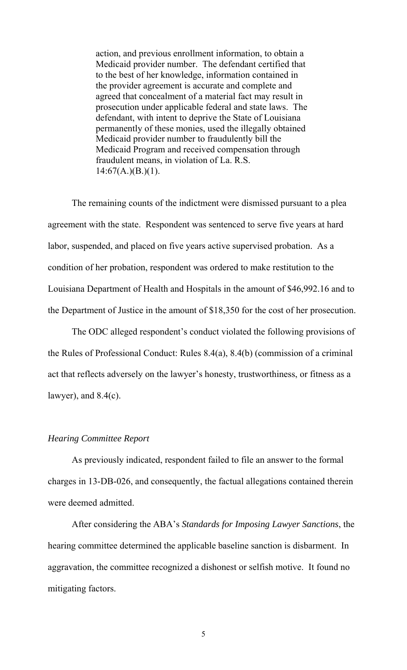action, and previous enrollment information, to obtain a Medicaid provider number. The defendant certified that to the best of her knowledge, information contained in the provider agreement is accurate and complete and agreed that concealment of a material fact may result in prosecution under applicable federal and state laws. The defendant, with intent to deprive the State of Louisiana permanently of these monies, used the illegally obtained Medicaid provider number to fraudulently bill the Medicaid Program and received compensation through fraudulent means, in violation of La. R.S.  $14:67(A.)(B.)(1).$ 

The remaining counts of the indictment were dismissed pursuant to a plea agreement with the state. Respondent was sentenced to serve five years at hard labor, suspended, and placed on five years active supervised probation. As a condition of her probation, respondent was ordered to make restitution to the Louisiana Department of Health and Hospitals in the amount of \$46,992.16 and to the Department of Justice in the amount of \$18,350 for the cost of her prosecution.

The ODC alleged respondent's conduct violated the following provisions of the Rules of Professional Conduct: Rules 8.4(a), 8.4(b) (commission of a criminal act that reflects adversely on the lawyer's honesty, trustworthiness, or fitness as a lawyer), and  $8.4(c)$ .

### *Hearing Committee Report*

As previously indicated, respondent failed to file an answer to the formal charges in 13-DB-026, and consequently, the factual allegations contained therein were deemed admitted.

After considering the ABA's *Standards for Imposing Lawyer Sanctions*, the hearing committee determined the applicable baseline sanction is disbarment. In aggravation, the committee recognized a dishonest or selfish motive. It found no mitigating factors.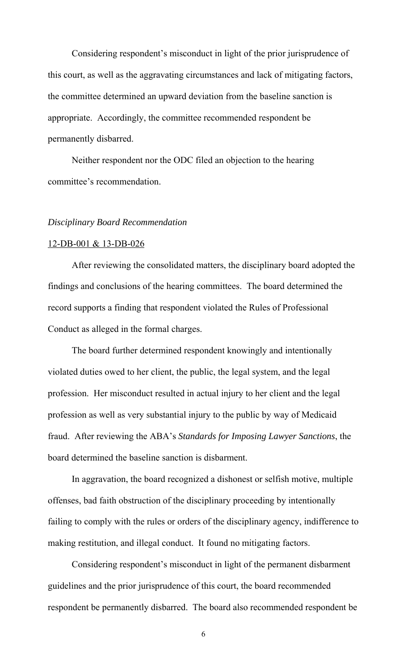Considering respondent's misconduct in light of the prior jurisprudence of this court, as well as the aggravating circumstances and lack of mitigating factors, the committee determined an upward deviation from the baseline sanction is appropriate. Accordingly, the committee recommended respondent be permanently disbarred.

Neither respondent nor the ODC filed an objection to the hearing committee's recommendation.

#### *Disciplinary Board Recommendation*

#### 12-DB-001 & 13-DB-026

 After reviewing the consolidated matters, the disciplinary board adopted the findings and conclusions of the hearing committees. The board determined the record supports a finding that respondent violated the Rules of Professional Conduct as alleged in the formal charges.

The board further determined respondent knowingly and intentionally violated duties owed to her client, the public, the legal system, and the legal profession. Her misconduct resulted in actual injury to her client and the legal profession as well as very substantial injury to the public by way of Medicaid fraud. After reviewing the ABA's *Standards for Imposing Lawyer Sanctions*, the board determined the baseline sanction is disbarment.

 In aggravation, the board recognized a dishonest or selfish motive, multiple offenses, bad faith obstruction of the disciplinary proceeding by intentionally failing to comply with the rules or orders of the disciplinary agency, indifference to making restitution, and illegal conduct. It found no mitigating factors.

Considering respondent's misconduct in light of the permanent disbarment guidelines and the prior jurisprudence of this court, the board recommended respondent be permanently disbarred. The board also recommended respondent be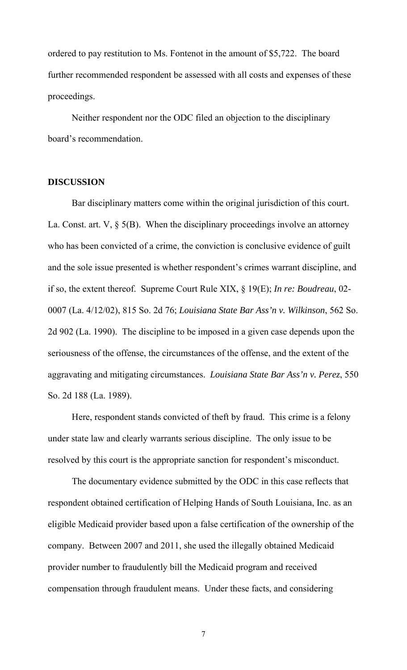ordered to pay restitution to Ms. Fontenot in the amount of \$5,722. The board further recommended respondent be assessed with all costs and expenses of these proceedings.

 Neither respondent nor the ODC filed an objection to the disciplinary board's recommendation.

### **DISCUSSION**

Bar disciplinary matters come within the original jurisdiction of this court. La. Const. art. V, § 5(B). When the disciplinary proceedings involve an attorney who has been convicted of a crime, the conviction is conclusive evidence of guilt and the sole issue presented is whether respondent's crimes warrant discipline, and if so, the extent thereof. Supreme Court Rule XIX, § 19(E); *In re: Boudreau*, 02- 0007 (La. 4/12/02), 815 So. 2d 76; *Louisiana State Bar Ass'n v. Wilkinson*, 562 So. 2d 902 (La. 1990). The discipline to be imposed in a given case depends upon the seriousness of the offense, the circumstances of the offense, and the extent of the aggravating and mitigating circumstances. *Louisiana State Bar Ass'n v. Perez*, 550 So. 2d 188 (La. 1989).

 Here, respondent stands convicted of theft by fraud. This crime is a felony under state law and clearly warrants serious discipline. The only issue to be resolved by this court is the appropriate sanction for respondent's misconduct.

The documentary evidence submitted by the ODC in this case reflects that respondent obtained certification of Helping Hands of South Louisiana, Inc. as an eligible Medicaid provider based upon a false certification of the ownership of the company. Between 2007 and 2011, she used the illegally obtained Medicaid provider number to fraudulently bill the Medicaid program and received compensation through fraudulent means. Under these facts, and considering